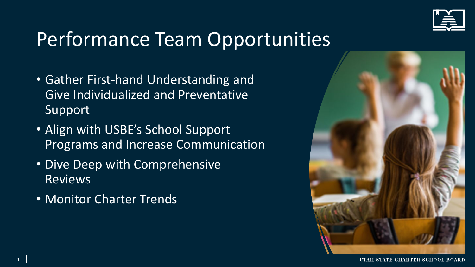

## Performance Team Opportunities

- Gather First-hand Understanding and Give Individualized and Preventative Support
- Align with USBE's School Support Programs and Increase Communication
- Dive Deep with Comprehensive Reviews
- Monitor Charter Trends

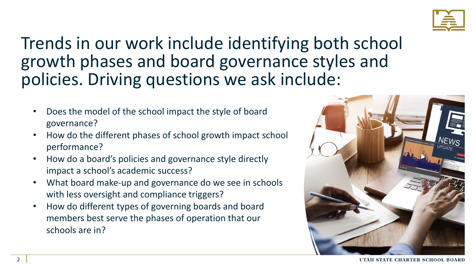

#### Trends in our work include identifying both school growth phases and board governance styles and policies. Driving questions we ask include:

- Does the model of the school impact the style of board governance?
- How do the different phases of school growth impact school performance?
- How do a board's policies and governance style directly impact a school's academic success?
- What board make-up and governance do we see in schools with less oversight and compliance triggers?
- How do different types of governing boards and board members best serve the phases of operation that our schools are in?

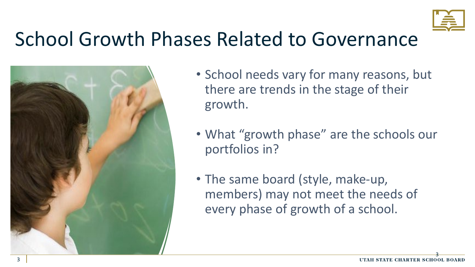

### School Growth Phases Related to Governance



- School needs vary for many reasons, but there are trends in the stage of their growth.
- What "growth phase" are the schools our portfolios in?
- The same board (style, make-up, members) may not meet the needs of every phase of growth of a school.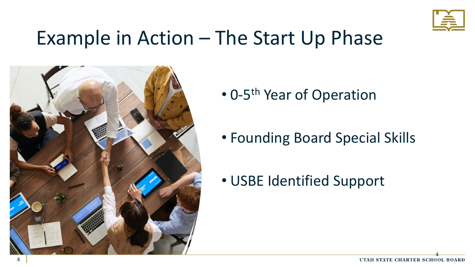

#### Example in Action – The Start Up Phase



- 0-5<sup>th</sup> Year of Operation
- Founding Board Special Skills
- USBE Identified Support